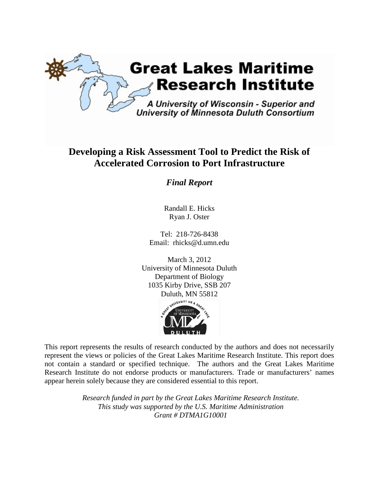

# **Developing a Risk Assessment Tool to Predict the Risk of Accelerated Corrosion to Port Infrastructure**

*Final Report*

Randall E. Hicks Ryan J. Oster

Tel: 218-726-8438 Email: rhicks@d.umn.edu



This report represents the results of research conducted by the authors and does not necessarily represent the views or policies of the Great Lakes Maritime Research Institute. This report does not contain a standard or specified technique. The authors and the Great Lakes Maritime Research Institute do not endorse products or manufacturers. Trade or manufacturers' names appear herein solely because they are considered essential to this report.

> *Research funded in part by the Great Lakes Maritime Research Institute. This study was supported by the U.S. Maritime Administration Grant # DTMA1G10001*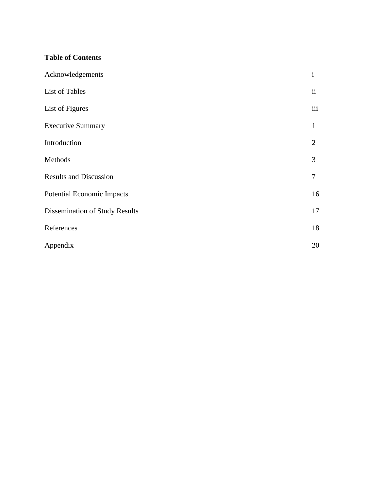# **Table of Contents**

| Acknowledgements                      | $\mathbf{i}$        |
|---------------------------------------|---------------------|
| List of Tables                        | $\ddot{\mathbf{i}}$ |
| List of Figures                       | iii                 |
| <b>Executive Summary</b>              | $\mathbf{1}$        |
| Introduction                          | 2                   |
| Methods                               | 3                   |
| <b>Results and Discussion</b>         | 7                   |
| Potential Economic Impacts            | 16                  |
| <b>Dissemination of Study Results</b> | 17                  |
| References                            | 18                  |
| Appendix                              | 20                  |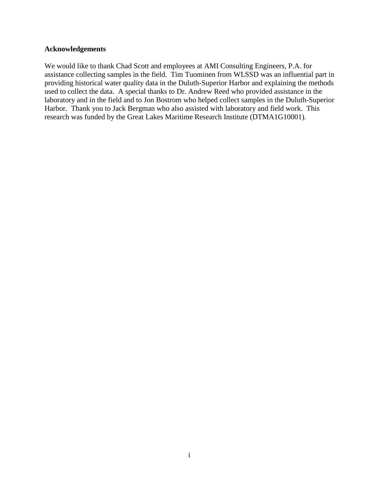#### **Acknowledgements**

We would like to thank Chad Scott and employees at AMI Consulting Engineers, P.A. for assistance collecting samples in the field. Tim Tuominen from WLSSD was an influential part in providing historical water quality data in the Duluth-Superior Harbor and explaining the methods used to collect the data. A special thanks to Dr. Andrew Reed who provided assistance in the laboratory and in the field and to Jon Bostrom who helped collect samples in the Duluth-Superior Harbor. Thank you to Jack Bergman who also assisted with laboratory and field work. This research was funded by the Great Lakes Maritime Research Institute (DTMA1G10001).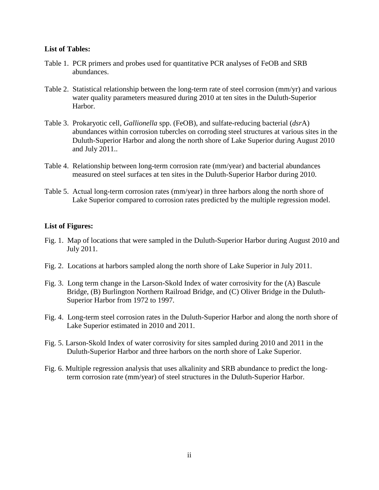#### **List of Tables:**

- Table 1. PCR primers and probes used for quantitative PCR analyses of FeOB and SRB abundances.
- Table 2. Statistical relationship between the long-term rate of steel corrosion (mm/yr) and various water quality parameters measured during 2010 at ten sites in the Duluth-Superior Harbor.
- Table 3. Prokaryotic cell, *Gallionella* spp. (FeOB), and sulfate-reducing bacterial (*dsr*A) abundances within corrosion tubercles on corroding steel structures at various sites in the Duluth-Superior Harbor and along the north shore of Lake Superior during August 2010 and July 2011..
- Table 4. Relationship between long-term corrosion rate (mm/year) and bacterial abundances measured on steel surfaces at ten sites in the Duluth-Superior Harbor during 2010.
- Table 5. Actual long-term corrosion rates (mm/year) in three harbors along the north shore of Lake Superior compared to corrosion rates predicted by the multiple regression model.

## **List of Figures:**

- Fig. 1. Map of locations that were sampled in the Duluth-Superior Harbor during August 2010 and July 2011.
- Fig. 2. Locations at harbors sampled along the north shore of Lake Superior in July 2011.
- Fig. 3. Long term change in the Larson-Skold Index of water corrosivity for the (A) Bascule Bridge, (B) Burlington Northern Railroad Bridge, and (C) Oliver Bridge in the Duluth-Superior Harbor from 1972 to 1997.
- Fig. 4. Long-term steel corrosion rates in the Duluth-Superior Harbor and along the north shore of Lake Superior estimated in 2010 and 2011.
- Fig. 5. Larson-Skold Index of water corrosivity for sites sampled during 2010 and 2011 in the Duluth-Superior Harbor and three harbors on the north shore of Lake Superior.
- Fig. 6. Multiple regression analysis that uses alkalinity and SRB abundance to predict the longterm corrosion rate (mm/year) of steel structures in the Duluth-Superior Harbor.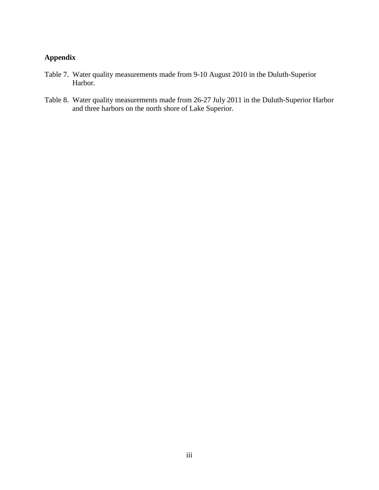# **Appendix**

- Table 7. Water quality measurements made from 9-10 August 2010 in the Duluth-Superior Harbor.
- Table 8. Water quality measurements made from 26-27 July 2011 in the Duluth-Superior Harbor and three harbors on the north shore of Lake Superior.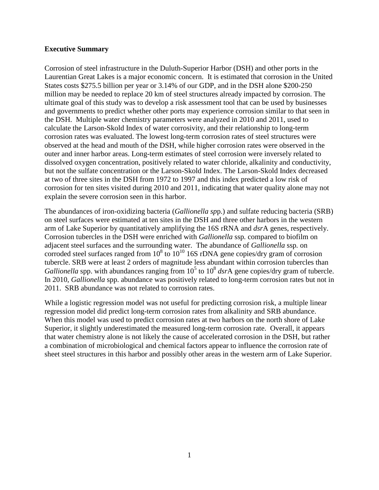#### **Executive Summary**

Corrosion of steel infrastructure in the Duluth-Superior Harbor (DSH) and other ports in the Laurentian Great Lakes is a major economic concern. It is estimated that corrosion in the United States costs \$275.5 billion per year or 3.14% of our GDP, and in the DSH alone \$200-250 million may be needed to replace 20 km of steel structures already impacted by corrosion. The ultimate goal of this study was to develop a risk assessment tool that can be used by businesses and governments to predict whether other ports may experience corrosion similar to that seen in the DSH. Multiple water chemistry parameters were analyzed in 2010 and 2011, used to calculate the Larson-Skold Index of water corrosivity, and their relationship to long-term corrosion rates was evaluated. The lowest long-term corrosion rates of steel structures were observed at the head and mouth of the DSH, while higher corrosion rates were observed in the outer and inner harbor areas. Long-term estimates of steel corrosion were inversely related to dissolved oxygen concentration, positively related to water chloride, alkalinity and conductivity, but not the sulfate concentration or the Larson-Skold Index. The Larson-Skold Index decreased at two of three sites in the DSH from 1972 to 1997 and this index predicted a low risk of corrosion for ten sites visited during 2010 and 2011, indicating that water quality alone may not explain the severe corrosion seen in this harbor.

The abundances of iron-oxidizing bacteria (*Gallionella sp*p.) and sulfate reducing bacteria (SRB) on steel surfaces were estimated at ten sites in the DSH and three other harbors in the western arm of Lake Superior by quantitatively amplifying the 16S rRNA and *dsr*A genes, respectively. Corrosion tubercles in the DSH were enriched with *Gallionella* ssp*.* compared to biofilm on adjacent steel surfaces and the surrounding water. The abundance of *Gallionella* ssp*.* on corroded steel surfaces ranged from  $10^8$  to  $10^{10}$  16S rDNA gene copies/dry gram of corrosion tubercle. SRB were at least 2 orders of magnitude less abundant within corrosion tubercles than *Gallionella* spp. with abundances ranging from  $10^5$  to  $10^8$  *dsrA* gene copies/dry gram of tubercle. In 2010, *Gallionella* spp. abundance was positively related to long-term corrosion rates but not in 2011. SRB abundance was not related to corrosion rates.

While a logistic regression model was not useful for predicting corrosion risk, a multiple linear regression model did predict long-term corrosion rates from alkalinity and SRB abundance. When this model was used to predict corrosion rates at two harbors on the north shore of Lake Superior, it slightly underestimated the measured long-term corrosion rate. Overall, it appears that water chemistry alone is not likely the cause of accelerated corrosion in the DSH, but rather a combination of microbiological and chemical factors appear to influence the corrosion rate of sheet steel structures in this harbor and possibly other areas in the western arm of Lake Superior.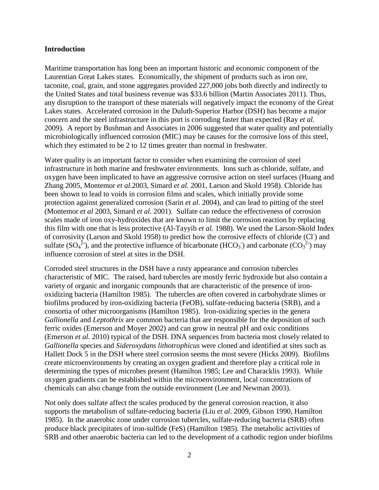#### **Introduction**

Maritime transportation has long been an important historic and economic component of the Laurentian Great Lakes states. Economically, the shipment of products such as iron ore, taconite, coal, grain, and stone aggregates provided 227,000 jobs both directly and indirectly to the United States and total business revenue was \$33.6 billion (Martin Associates 2011). Thus, any disruption to the transport of these materials will negatively impact the economy of the Great Lakes states. Accelerated corrosion in the Duluth-Superior Harbor (DSH) has become a major concern and the steel infrastructure in this port is corroding faster than expected (Ray *et al.* 2009). A report by Bushman and Associates in 2006 suggested that water quality and potentially microbiologically influenced corrosion (MIC) may be causes for the corrosive loss of this steel, which they estimated to be 2 to 12 times greater than normal in freshwater.

Water quality is an important factor to consider when examining the corrosion of steel infrastructure in both marine and freshwater environments. Ions such as chloride, sulfate, and oxygen have been implicated to have an aggressive corrosive action on steel surfaces (Huang and Zhang 2005, Montemor *et al.*2003, Simard *et al.* 2001, Larson and Skold 1958). Chloride has been shown to lead to voids in corrosion films and scales, which initially provide some protection against generalized corrosion (Sarin *et al.* 2004), and can lead to pitting of the steel (Montemor *et al* 2003, Simard *et al.* 2001). Sulfate can reduce the effectiveness of corrosion scales made of iron oxy-hydroxides that are known to limit the corrosion reaction by replacing this film with one that is less protective (Al-Tayyib *et al.* 1988). We used the Larson-Skold Index of corrosivity (Larson and Skold 1958) to predict how the corrosive effects of chloride (Cl ) and sulfate  $(SO_4^2)$ , and the protective influence of bicarbonate (HCO<sub>3</sub><sup>-</sup>) and carbonate (CO<sub>3</sub><sup>2</sup>) may influence corrosion of steel at sites in the DSH.

Corroded steel structures in the DSH have a rusty appearance and corrosion tubercles characteristic of MIC. The raised, hard tubercles are mostly ferric hydroxide but also contain a variety of organic and inorganic compounds that are characteristic of the presence of ironoxidizing bacteria (Hamilton 1985). The tubercles are often covered in carbohydrate slimes or biofilms produced by iron-oxidizing bacteria (FeOB), sulfate-reducing bacteria (SRB), and a consortia of other microorganisms (Hamilton 1985). Iron-oxidizing species in the genera *Gallionella* and *Leptothrix* are common bacteria that are responsible for the deposition of such ferric oxides (Emerson and Moyer 2002) and can grow in neutral pH and oxic conditions (Emerson *et al.* 2010) typical of the DSH. DNA sequences from bacteria most closely related to *Gallionella* species and *Sideroxydans lithotrophicus* were cloned and identified at sites such as Hallett Dock 5 in the DSH where steel corrosion seems the most severe (Hicks 2009). Biofilms create microenvironments by creating an oxygen gradient and therefore play a critical role in determining the types of microbes present (Hamilton 1985; Lee and Characklis 1993). While oxygen gradients can be established within the microenvironment, local concentrations of chemicals can also change from the outside environment (Lee and Newman 2003).

Not only does sulfate affect the scales produced by the general corrosion reaction, it also supports the metabolism of sulfate-reducing bacteria (Liu *et al.* 2009, Gibson 1990, Hamilton 1985). In the anaerobic zone under corrosion tubercles, sulfate-reducing bacteria (SRB) often produce black precipitates of iron-sulfide (FeS) (Hamilton 1985). The metabolic activities of SRB and other anaerobic bacteria can led to the development of a cathodic region under biofilms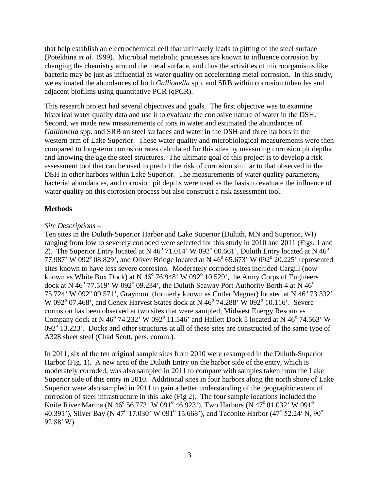that help establish an electrochemical cell that ultimately leads to pitting of the steel surface (Potekhina *et al.* 1999). Microbial metabolic processes are known to influence corrosion by changing the chemistry around the metal surface, and thus the activities of microorganisms like bacteria may be just as influential as water quality on accelerating metal corrosion. In this study, we estimated the abundances of both *Gallionella* spp. and SRB within corrosion tubercles and adjacent biofilms using quantitative PCR (qPCR).

This research project had several objectives and goals. The first objective was to examine historical water quality data and use it to evaluate the corrosive nature of water in the DSH. Second, we made new measurements of ions in water and estimated the abundances of *Gallionella* spp. and SRB on steel surfaces and water in the DSH and three harbors in the western arm of Lake Superior. These water quality and microbiological measurements were then compared to long-term corrosion rates calculated for this sites by measuring corrosion pit depths and knowing the age the steel structures. The ultimate goal of this project is to develop a risk assessment tool that can be used to predict the risk of corrosion similar to that observed in the DSH in other harbors within Lake Superior. The measurements of water quality parameters, bacterial abundances, and corrosion pit depths were used as the basis to evaluate the influence of water quality on this corrosion process but also construct a risk assessment tool.

# **Methods**

## *Site Descriptions –*

Ten sites in the Duluth-Superior Harbor and Lake Superior (Duluth, MN and Superior, WI) ranging from low to severely corroded were selected for this study in 2010 and 2011 (Figs. 1 and 2). The Superior Entry located at N 46 $^{\circ}$  71.014' W 092 $^{\circ}$  00.661', Duluth Entry located at N 46 $^{\circ}$ 77.987' W 092 $^{\circ}$  08.829', and Oliver Bridge located at N 46 $^{\circ}$  65.673' W 092 $^{\circ}$  20.225' represented sites known to have less severe corrosion. Moderately corroded sites included Cargill (now known as White Box Dock) at N  $46^{\circ}$  76.948' W 092 $^{\circ}$  10.529', the Army Corps of Engineers dock at N 46 $\degree$  77.519' W 092 $\degree$  09.234', the Duluth Seaway Port Authority Berth 4 at N 46 $\degree$ 75.724' W 092 $^{\circ}$  09.571', Graymont (formerly known as Cutler Magner) located at N 46 $^{\circ}$  73.332' W 092 $^{\circ}$  07.468', and Cenex Harvest States dock at N 46 $^{\circ}$  74.288' W 092 $^{\circ}$  10.116'. Severe corrosion has been observed at two sites that were sampled; Midwest Energy Resources Company dock at N 46 $^{\circ}$  74.232' W 092 $^{\circ}$  11.546' and Hallett Dock 5 located at N 46 $^{\circ}$  74.563' W  $092^{\circ}$  13.223'. Docks and other structures at all of these sites are constructed of the same type of A328 sheet steel (Chad Scott, pers. comm.).

In 2011, six of the ten original sample sites from 2010 were resampled in the Duluth-Superior Harbor (Fig. 1). A new area of the Duluth Entry on the harbor side of the entry, which is moderately corroded, was also sampled in 2011 to compare with samples taken from the Lake Superior side of this entry in 2010. Additional sites in four harbors along the north shore of Lake Superior were also sampled in 2011 to gain a better understanding of the geographic extent of corrosion of steel infrastructure in this lake (Fig 2). The four sample locations included the Knife River Marina (N 46 $^{\circ}$  56.773' W 091 $^{\circ}$  46.923'), Two Harbors (N 47 $^{\circ}$ 01.032' W 091 $^{\circ}$ 40.391'), Silver Bay (N 47<sup>o</sup> 17.030' W 091<sup>o</sup> 15.668'), and Taconite Harbor (47<sup>o</sup> 52.24' N, 90<sup>o</sup> 92.88′ W).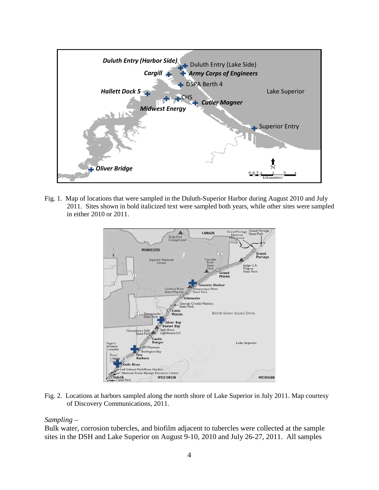

Fig. 1. Map of locations that were sampled in the Duluth-Superior Harbor during August 2010 and July 2011. Sites shown in bold italicized text were sampled both years, while other sites were sampled in either 2010 or 2011.



Fig. 2. Locations at harbors sampled along the north shore of Lake Superior in July 2011. Map courtesy of Discovery Communications, 2011.

#### *Sampling –*

Bulk water, corrosion tubercles, and biofilm adjacent to tubercles were collected at the sample sites in the DSH and Lake Superior on August 9-10, 2010 and July 26-27, 2011. All samples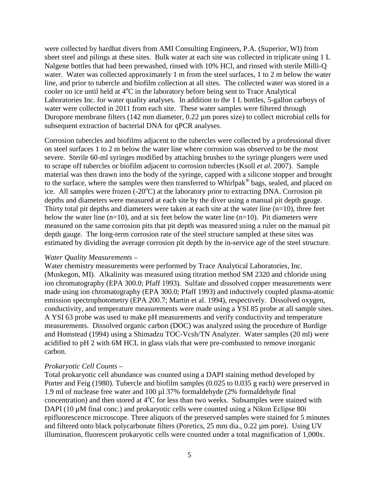were collected by hardhat divers from AMI Consulting Engineers, P.A. (Superior, WI) from sheet steel and pilings at these sites. Bulk water at each site was collected in triplicate using 1 L Nalgene bottles that had been prewashed, rinsed with 10% HCl, and rinsed with sterile Milli-Q water. Water was collected approximately 1 m from the steel surfaces, 1 to 2 m below the water line, and prior to tubercle and biofilm collection at all sites. The collected water was stored in a cooler on ice until held at  $4^{\circ}$ C in the laboratory before being sent to Trace Analytical Laboratories Inc. for water quality analyses. In addition to the 1 L bottles, 5-gallon carboys of water were collected in 2011 from each site. These water samples were filtered through Duropore membrane filters (142 mm diameter, 0.22 µm pores size) to collect microbial cells for subsequent extraction of bacterial DNA for qPCR analyses.

Corrosion tubercles and biofilms adjacent to the tubercles were collected by a professional diver on steel surfaces 1 to 2 m below the water line where corrosion was observed to be the most severe. Sterile 60-ml syringes modified by attaching brushes to the syringe plungers were used to scrape off tubercles or biofilm adjacent to corrosion tubercles (Ksoll *et al.* 2007). Sample material was then drawn into the body of the syringe, capped with a silicone stopper and brought to the surface, where the samples were then transferred to Whirlpak<sup>®</sup> bags, sealed, and placed on ice. All samples were frozen  $(-20^{\circ}C)$  at the laboratory prior to extracting DNA. Corrosion pit depths and diameters were measured at each site by the diver using a manual pit depth gauge. Thirty total pit depths and diameters were taken at each site at the water line  $(n=10)$ , three feet below the water line  $(n=10)$ , and at six feet below the water line  $(n=10)$ . Pit diameters were measured on the same corrosion pits that pit depth was measured using a ruler on the manual pit depth gauge. The long-term corrosion rate of the steel structure sampled at these sites was estimated by dividing the average corrosion pit depth by the in-service age of the steel structure.

#### *Water Quality Measurements –*

Water chemistry measurements were performed by Trace Analytical Laboratories, Inc. (Muskegon, MI). Alkalinity was measured using titration method SM 2320 and chloride using ion chromatography (EPA 300.0; Pfaff 1993). Sulfate and dissolved copper measurements were made using ion chromatography (EPA 300.0; Pfaff 1993) and inductively coupled plasma-atomic emission spectrophotometry (EPA 200.7; Martin et al. 1994), respectively. Dissolved oxygen, conductivity, and temperature measurements were made using a YSI 85 probe at all sample sites. A YSI 63 probe was used to make pH measurements and verify conductivity and temperature measurements. Dissolved organic carbon (DOC) was analyzed using the procedure of Burdige and Homstead (1994) using a Shimadzu TOC-Vcsh/TN Analyzer. Water samples (20 ml) were acidified to pH 2 with 6M HCL in glass vials that were pre-combusted to remove inorganic carbon.

#### *Prokaryotic Cell Counts –*

Total prokaryotic cell abundance was counted using a DAPI staining method developed by Porter and Feig (1980). Tubercle and biofilm samples (0.025 to 0.035 g each) were preserved in 1.9 ml of nuclease free water and 100 µl 37% formaldehyde (2% formaldehyde final concentration) and then stored at  $4^{\circ}C$  for less than two weeks. Subsamples were stained with DAPI (10  $\mu$ M final conc.) and prokaryotic cells were counted using a Nikon Eclipse 80i epifluorescence microscope. Three aliquots of the preserved samples were stained for 5 minutes and filtered onto black polycarbonate filters (Poretics, 25 mm dia., 0.22 µm pore). Using UV illumination, fluorescent prokaryotic cells were counted under a total magnification of 1,000x.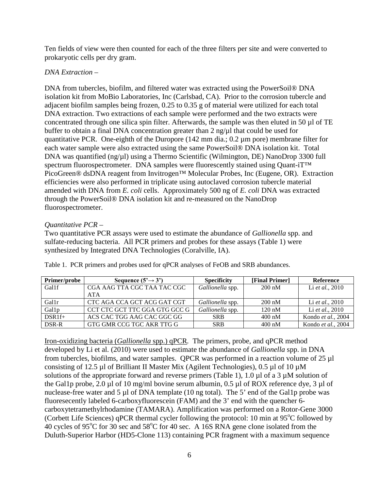Ten fields of view were then counted for each of the three filters per site and were converted to prokaryotic cells per dry gram.

# *DNA Extraction –*

DNA from tubercles, biofilm, and filtered water was extracted using the PowerSoil® DNA isolation kit from MoBio Laboratories, Inc (Carlsbad, CA). Prior to the corrosion tubercle and adjacent biofilm samples being frozen, 0.25 to 0.35 g of material were utilized for each total DNA extraction. Two extractions of each sample were performed and the two extracts were concentrated through one silica spin filter. Afterwards, the sample was then eluted in 50 µl of TE buffer to obtain a final DNA concentration greater than  $2 \text{ ng}/\mu$ l that could be used for quantitative PCR. One-eighth of the Duropore (142 mm dia.; 0.2 µm pore) membrane filter for each water sample were also extracted using the same PowerSoil® DNA isolation kit. Total DNA was quantified (ng/µl) using a Thermo Scientific (Wilmington, DE) NanoDrop 3300 full spectrum fluorospectrometer. DNA samples were fluorescently stained using Quant-iT™ PicoGreen® dsDNA reagent from Invitrogen™ Molecular Probes, Inc (Eugene, OR). Extraction efficiencies were also performed in triplicate using autoclaved corrosion tubercle material amended with DNA from *E. coli* cells. Approximately 500 ng of *E. coli* DNA was extracted through the PowerSoil® DNA isolation kit and re-measured on the NanoDrop fluorospectrometer.

# *Quantitative PCR –*

Two quantitative PCR assays were used to estimate the abundance of *Gallionella* spp. and sulfate-reducing bacteria. All PCR primers and probes for these assays (Table 1) were synthesized by Integrated DNA Technologies (Coralville, IA).

| Primer/probe | Sequence $(5' \rightarrow 3')$ | <b>Specificity</b> | [Final Primer]   | Reference          |
|--------------|--------------------------------|--------------------|------------------|--------------------|
| Gal1f        | CGA AAG TTA CGC TAA TAC CGC    | Gallionella spp.   | $200 \text{ nM}$ | Li et al., 2010    |
|              | <b>ATA</b>                     |                    |                  |                    |
| Gallr        | CTC AGA CCA GCT ACG GAT CGT    | Gallionella spp.   | $200 \text{ nM}$ | Li et al., 2010    |
| Gallp        | CCT CTC GCT TTC GGA GTG GCC G  | Gallionella spp.   | $120 \text{ nM}$ | Li et al., 2010    |
| $DSR1f+$     | ACS CAC TGG AAG CAC GGC GG     | <b>SRB</b>         | $400 \text{ nM}$ | Kondo et al., 2004 |
| DSR-R        | GTG GMR CCG TGC AKR TTG G      | <b>SRB</b>         | $400 \text{ nM}$ | Kondo et al., 2004 |

Table 1. PCR primers and probes used for qPCR analyses of FeOB and SRB abundances.

Iron-oxidizing bacteria (*Gallionella* spp.) qPCR*.* The primers, probe, and qPCR method developed by Li et al. (2010) were used to estimate the abundance of *Gallionella* spp. in DNA from tubercles, biofilms, and water samples. QPCR was performed in a reaction volume of 25 µl consisting of 12.5 µl of Brilliant II Master Mix (Agilent Technologies), 0.5 µl of 10 µM solutions of the appropriate forward and reverse primers (Table 1), 1.0  $\mu$ l of a 3  $\mu$ M solution of the Gal1p probe, 2.0 µl of 10 mg/ml bovine serum albumin, 0.5 µl of ROX reference dye, 3 µl of nuclease-free water and 5 µl of DNA template (10 ng total). The 5' end of the Gal1p probe was fluoresecently labeled 6-carboxyfluorescein (FAM) and the 3' end with the quencher 6 carboxytetramethylrhodamine (TAMARA). Amplification was performed on a Rotor-Gene 3000 (Corbett Life Sciences) qPCR thermal cycler following the protocol: 10 min at 95°C followed by 40 cycles of 95 $\rm{^{\circ}C}$  for 30 sec and 58 $\rm{^{\circ}C}$  for 40 sec. A 16S RNA gene clone isolated from the Duluth-Superior Harbor (HD5-Clone 113) containing PCR fragment with a maximum sequence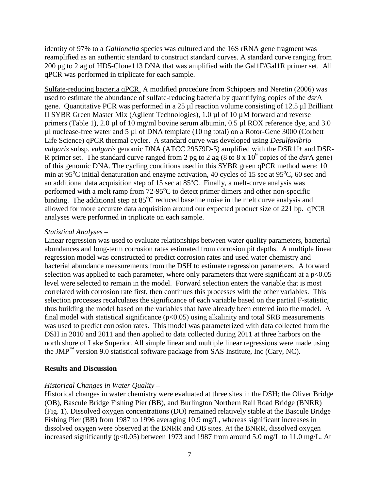identity of 97% to a *Gallionella* species was cultured and the 16S rRNA gene fragment was reamplified as an authentic standard to construct standard curves. A standard curve ranging from 200 pg to 2 ag of HD5-Clone113 DNA that was amplified with the Gal1F/Gal1R primer set. All qPCR was performed in triplicate for each sample.

Sulfate-reducing bacteria qPCR. A modified procedure from Schippers and Neretin (2006) was used to estimate the abundance of sulfate-reducing bacteria by quantifying copies of the *dsr*A gene. Quantitative PCR was performed in a 25 µl reaction volume consisting of 12.5 µl Brilliant II SYBR Green Master Mix (Agilent Technologies), 1.0 µl of 10 µM forward and reverse primers (Table 1), 2.0 µl of 10 mg/ml bovine serum albumin, 0.5 µl ROX reference dye, and 3.0 µl nuclease-free water and 5 µl of DNA template (10 ng total) on a Rotor-Gene 3000 (Corbett Life Science) qPCR thermal cycler. A standard curve was developed using *Desulfovibrio vulgaris* subsp. *vulgaris* genomic DNA (ATCC 29579D-5) amplified with the DSR1f+ and DSR-R primer set. The standard curve ranged from 2 pg to 2 ag  $(8 \text{ to } 8 \text{ x } 10^9 \text{ copies of the } dsrA \text{ gene})$ of this genomic DNA. The cycling conditions used in this SYBR green qPCR method were: 10 min at 95°C initial denaturation and enzyme activation, 40 cycles of 15 sec at 95°C, 60 sec and an additional data acquisition step of 15 sec at  $85^{\circ}$ C. Finally, a melt-curve analysis was performed with a melt ramp from  $72-95^{\circ}$ C to detect primer dimers and other non-specific binding. The additional step at  $85^{\circ}$ C reduced baseline noise in the melt curve analysis and allowed for more accurate data acquisition around our expected product size of 221 bp. qPCR analyses were performed in triplicate on each sample.

## *Statistical Analyses –*

Linear regression was used to evaluate relationships between water quality parameters, bacterial abundances and long-term corrosion rates estimated from corrosion pit depths. A multiple linear regression model was constructed to predict corrosion rates and used water chemistry and bacterial abundance measurements from the DSH to estimate regression parameters. A forward selection was applied to each parameter, where only parameters that were significant at a  $p<0.05$ level were selected to remain in the model. Forward selection enters the variable that is most correlated with corrosion rate first, then continues this processes with the other variables. This selection processes recalculates the significance of each variable based on the partial F-statistic, thus building the model based on the variables that have already been entered into the model. A final model with statistical significance  $(p<0.05)$  using alkalinity and total SRB measurements was used to predict corrosion rates. This model was parameterized with data collected from the DSH in 2010 and 2011 and then applied to data collected during 2011 at three harbors on the north shore of Lake Superior. All simple linear and multiple linear regressions were made using the  $JMP^{TM}$  version 9.0 statistical software package from SAS Institute, Inc (Cary, NC).

#### **Results and Discussion**

## *Historical Changes in Water Quality –*

Historical changes in water chemistry were evaluated at three sites in the DSH; the Oliver Bridge (OB), Bascule Bridge Fishing Pier (BB), and Burlington Northern Rail Road Bridge (BNRR) (Fig. 1). Dissolved oxygen concentrations (DO) remained relatively stable at the Bascule Bridge Fishing Pier (BB) from 1987 to 1996 averaging 10.9 mg/L, whereas significant increases in dissolved oxygen were observed at the BNRR and OB sites. At the BNRR, dissolved oxygen increased significantly (p<0.05) between 1973 and 1987 from around 5.0 mg/L to 11.0 mg/L. At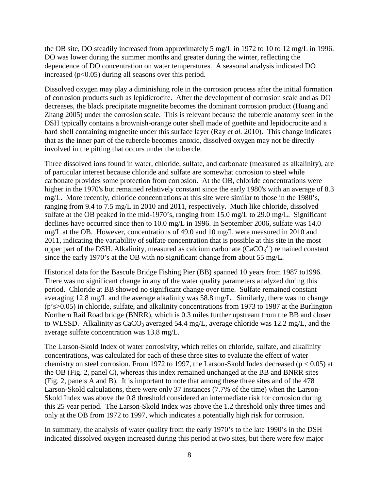the OB site, DO steadily increased from approximately 5 mg/L in 1972 to 10 to 12 mg/L in 1996. DO was lower during the summer months and greater during the winter, reflecting the dependence of DO concentration on water temperatures. A seasonal analysis indicated DO increased  $(p<0.05)$  during all seasons over this period.

Dissolved oxygen may play a diminishing role in the corrosion process after the initial formation of corrosion products such as lepidicrocite. After the development of corrosion scale and as DO decreases, the black precipitate magnetite becomes the dominant corrosion product (Huang and Zhang 2005) under the corrosion scale. This is relevant because the tubercle anatomy seen in the DSH typically contains a brownish-orange outer shell made of goethite and lepidocrocite and a hard shell containing magnetite under this surface layer (Ray *et al.* 2010). This change indicates that as the inner part of the tubercle becomes anoxic, dissolved oxygen may not be directly involved in the pitting that occurs under the tubercle.

Three dissolved ions found in water, chloride, sulfate, and carbonate (measured as alkalinity), are of particular interest because chloride and sulfate are somewhat corrosion to steel while carbonate provides some protection from corrosion. At the OB, chloride concentrations were higher in the 1970's but remained relatively constant since the early 1980's with an average of 8.3 mg/L. More recently, chloride concentrations at this site were similar to those in the 1980's, ranging from 9.4 to 7.5 mg/L in 2010 and 2011, respectively. Much like chloride, dissolved sulfate at the OB peaked in the mid-1970's, ranging from 15.0 mg/L to 29.0 mg/L. Significant declines have occurred since then to 10.0 mg/L in 1996. In September 2006, sulfate was 14.0 mg/L at the OB. However, concentrations of 49.0 and 10 mg/L were measured in 2010 and 2011, indicating the variability of sulfate concentration that is possible at this site in the most upper part of the DSH. Alkalinity, measured as calcium carbonate  $(CaCO<sub>3</sub><sup>2</sup>)$  remained constant since the early 1970's at the OB with no significant change from about 55 mg/L.

Historical data for the Bascule Bridge Fishing Pier (BB) spanned 10 years from 1987 to1996. There was no significant change in any of the water quality parameters analyzed during this period. Chloride at BB showed no significant change over time. Sulfate remained constant averaging 12.8 mg/L and the average alkalinity was 58.8 mg/L. Similarly, there was no change (p's>0.05) in chloride, sulfate, and alkalinity concentrations from 1973 to 1987 at the Burlington Northern Rail Road bridge (BNRR), which is 0.3 miles further upstream from the BB and closer to WLSSD. Alkalinity as  $CaCO<sub>3</sub>$  averaged 54.4 mg/L, average chloride was 12.2 mg/L, and the average sulfate concentration was 13.8 mg/L.

The Larson-Skold Index of water corrosivity, which relies on chloride, sulfate, and alkalinity concentrations, was calculated for each of these three sites to evaluate the effect of water chemistry on steel corrosion. From 1972 to 1997, the Larson-Skold Index decreased ( $p < 0.05$ ) at the OB (Fig. 2, panel C), whereas this index remained unchanged at the BB and BNRR sites (Fig. 2, panels A and B). It is important to note that among these three sites and of the 478 Larson-Skold calculations, there were only 37 instances (7.7% of the time) when the Larson-Skold Index was above the 0.8 threshold considered an intermediate risk for corrosion during this 25 year period. The Larson-Skold Index was above the 1.2 threshold only three times and only at the OB from 1972 to 1997, which indicates a potentially high risk for corrosion.

In summary, the analysis of water quality from the early 1970's to the late 1990's in the DSH indicated dissolved oxygen increased during this period at two sites, but there were few major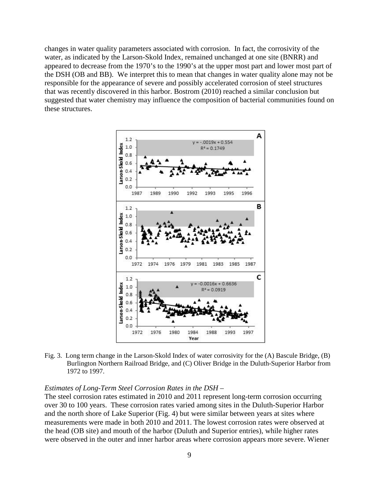changes in water quality parameters associated with corrosion. In fact, the corrosivity of the water, as indicated by the Larson-Skold Index, remained unchanged at one site (BNRR) and appeared to decrease from the 1970's to the 1990's at the upper most part and lower most part of the DSH (OB and BB). We interpret this to mean that changes in water quality alone may not be responsible for the appearance of severe and possibly accelerated corrosion of steel structures that was recently discovered in this harbor. Bostrom (2010) reached a similar conclusion but suggested that water chemistry may influence the composition of bacterial communities found on these structures.



Fig. 3. Long term change in the Larson-Skold Index of water corrosivity for the (A) Bascule Bridge, (B) Burlington Northern Railroad Bridge, and (C) Oliver Bridge in the Duluth-Superior Harbor from 1972 to 1997.

#### *Estimates of Long-Term Steel Corrosion Rates in the DSH –*

The steel corrosion rates estimated in 2010 and 2011 represent long-term corrosion occurring over 30 to 100 years. These corrosion rates varied among sites in the Duluth-Superior Harbor and the north shore of Lake Superior (Fig. 4) but were similar between years at sites where measurements were made in both 2010 and 2011. The lowest corrosion rates were observed at the head (OB site) and mouth of the harbor (Duluth and Superior entries), while higher rates were observed in the outer and inner harbor areas where corrosion appears more severe. Wiener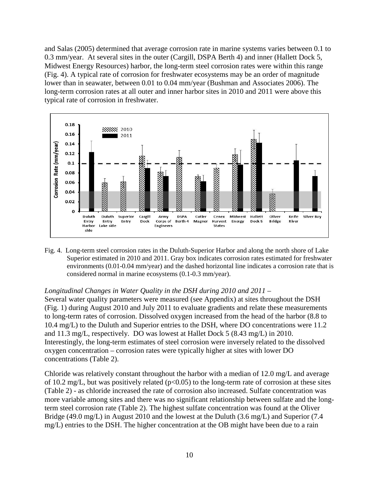and Salas (2005) determined that average corrosion rate in marine systems varies between 0.1 to 0.3 mm/year. At several sites in the outer (Cargill, DSPA Berth 4) and inner (Hallett Dock 5, Midwest Energy Resources) harbor, the long-term steel corrosion rates were within this range (Fig. 4). A typical rate of corrosion for freshwater ecosystems may be an order of magnitude lower than in seawater, between 0.01 to 0.04 mm/year (Bushman and Associates 2006). The long-term corrosion rates at all outer and inner harbor sites in 2010 and 2011 were above this typical rate of corrosion in freshwater.



Fig. 4. Long-term steel corrosion rates in the Duluth-Superior Harbor and along the north shore of Lake Superior estimated in 2010 and 2011. Gray box indicates corrosion rates estimated for freshwater environments (0.01-0.04 mm/year) and the dashed horizontal line indicates a corrosion rate that is considered normal in marine ecosystems (0.1-0.3 mm/year).

#### *Longitudinal Changes in Water Quality in the DSH during 2010 and 2011* –

Several water quality parameters were measured (see Appendix) at sites throughout the DSH (Fig. 1) during August 2010 and July 2011 to evaluate gradients and relate these measurements to long-term rates of corrosion. Dissolved oxygen increased from the head of the harbor (8.8 to 10.4 mg/L) to the Duluth and Superior entries to the DSH, where DO concentrations were 11.2 and 11.3 mg/L, respectively. DO was lowest at Hallet Dock 5 (8.43 mg/L) in 2010. Interestingly, the long-term estimates of steel corrosion were inversely related to the dissolved oxygen concentration – corrosion rates were typically higher at sites with lower DO concentrations (Table 2).

Chloride was relatively constant throughout the harbor with a median of 12.0 mg/L and average of 10.2 mg/L, but was positively related  $(p<0.05)$  to the long-term rate of corrosion at these sites (Table 2) - as chloride increased the rate of corrosion also increased. Sulfate concentration was more variable among sites and there was no significant relationship between sulfate and the longterm steel corrosion rate (Table 2). The highest sulfate concentration was found at the Oliver Bridge (49.0 mg/L) in August 2010 and the lowest at the Duluth (3.6 mg/L) and Superior (7.4 mg/L) entries to the DSH. The higher concentration at the OB might have been due to a rain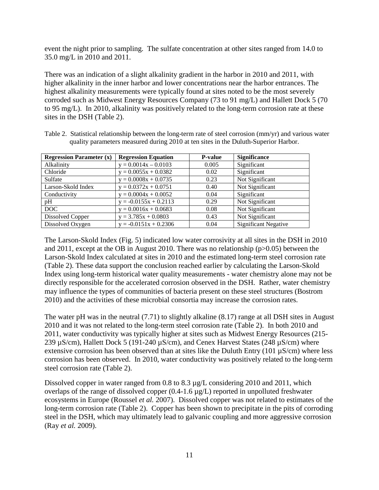event the night prior to sampling. The sulfate concentration at other sites ranged from 14.0 to 35.0 mg/L in 2010 and 2011.

There was an indication of a slight alkalinity gradient in the harbor in 2010 and 2011, with higher alkalinity in the inner harbor and lower concentrations near the harbor entrances. The highest alkalinity measurements were typically found at sites noted to be the most severely corroded such as Midwest Energy Resources Company (73 to 91 mg/L) and Hallett Dock 5 (70 to 95 mg/L). In 2010, alkalinity was positively related to the long-term corrosion rate at these sites in the DSH (Table 2).

| <b>Regression Parameter (x)</b> | <b>Regression Equation</b> | <b>P-value</b> | <b>Significance</b>         |
|---------------------------------|----------------------------|----------------|-----------------------------|
| Alkalinity                      | $y = 0.0014x - 0.0103$     | 0.005          | Significant                 |
| Chloride                        | $y = 0.0055x + 0.0382$     | 0.02           | Significant                 |
| Sulfate                         | $y = 0.0008x + 0.0735$     | 0.23           | Not Significant             |
| Larson-Skold Index              | $y = 0.0372x + 0.0751$     | 0.40           | Not Significant             |
| Conductivity                    | $y = 0.0004x + 0.0052$     | 0.04           | Significant                 |
| pH                              | $y = -0.0155x + 0.2113$    | 0.29           | Not Significant             |
| DOC                             | $y = 0.0016x + 0.0683$     | 0.08           | Not Significant             |
| Dissolved Copper                | $y = 3.785x + 0.0803$      | 0.43           | Not Significant             |
| Dissolved Oxygen                | $y = -0.0151x + 0.2306$    | 0.04           | <b>Significant Negative</b> |

Table 2. Statistical relationship between the long-term rate of steel corrosion (mm/yr) and various water quality parameters measured during 2010 at ten sites in the Duluth-Superior Harbor.

The Larson-Skold Index (Fig. 5) indicated low water corrosivity at all sites in the DSH in 2010 and 2011, except at the OB in August 2010. There was no relationship (p>0.05) between the Larson-Skold Index calculated at sites in 2010 and the estimated long-term steel corrosion rate (Table 2). These data support the conclusion reached earlier by calculating the Larson-Skold Index using long-term historical water quality measurements - water chemistry alone may not be directly responsible for the accelerated corrosion observed in the DSH. Rather, water chemistry may influence the types of communities of bacteria present on these steel structures (Bostrom 2010) and the activities of these microbial consortia may increase the corrosion rates.

The water pH was in the neutral (7.71) to slightly alkaline (8.17) range at all DSH sites in August 2010 and it was not related to the long-term steel corrosion rate (Table 2). In both 2010 and 2011, water conductivity was typically higher at sites such as Midwest Energy Resources (215- 239 µS/cm), Hallett Dock 5 (191-240 µS/cm), and Cenex Harvest States (248 µS/cm) where extensive corrosion has been observed than at sites like the Duluth Entry (101  $\mu$ S/cm) where less corrosion has been observed. In 2010, water conductivity was positively related to the long-term steel corrosion rate (Table 2).

Dissolved copper in water ranged from 0.8 to 8.3  $\mu$ g/L considering 2010 and 2011, which overlaps of the range of dissolved copper (0.4-1.6 µg/L) reported in unpolluted freshwater ecosystems in Europe (Roussel *et al.* 2007). Dissolved copper was not related to estimates of the long-term corrosion rate (Table 2). Copper has been shown to precipitate in the pits of corroding steel in the DSH, which may ultimately lead to galvanic coupling and more aggressive corrosion (Ray *et al.* 2009).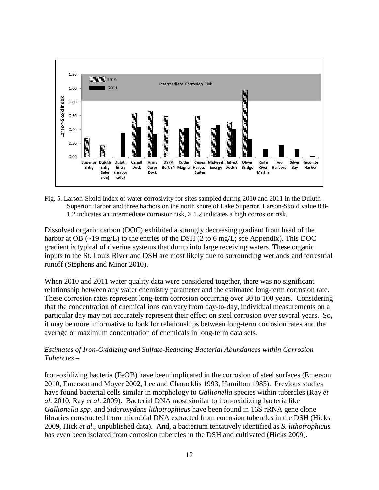

Fig. 5. Larson-Skold Index of water corrosivity for sites sampled during 2010 and 2011 in the Duluth-Superior Harbor and three harbors on the north shore of Lake Superior. Larson-Skold value 0.8- 1.2 indicates an intermediate corrosion risk, > 1.2 indicates a high corrosion risk.

Dissolved organic carbon (DOC) exhibited a strongly decreasing gradient from head of the harbor at OB (~19 mg/L) to the entries of the DSH (2 to 6 mg/L; see Appendix). This DOC gradient is typical of riverine systems that dump into large receiving waters. These organic inputs to the St. Louis River and DSH are most likely due to surrounding wetlands and terrestrial runoff (Stephens and Minor 2010).

When 2010 and 2011 water quality data were considered together, there was no significant relationship between any water chemistry parameter and the estimated long-term corrosion rate. These corrosion rates represent long-term corrosion occurring over 30 to 100 years. Considering that the concentration of chemical ions can vary from day-to-day, individual measurements on a particular day may not accurately represent their effect on steel corrosion over several years. So, it may be more informative to look for relationships between long-term corrosion rates and the average or maximum concentration of chemicals in long-term data sets.

# *Estimates of Iron-Oxidizing and Sulfate-Reducing Bacterial Abundances within Corrosion Tubercles –*

Iron-oxidizing bacteria (FeOB) have been implicated in the corrosion of steel surfaces (Emerson 2010, Emerson and Moyer 2002, Lee and Characklis 1993, Hamilton 1985). Previous studies have found bacterial cells similar in morphology to *Gallionella* species within tubercles (Ray *et al.* 2010, Ray *et al.* 2009). Bacterial DNA most similar to iron-oxidizing bacteria like *Gallionella spp.* and *Sideroxydans lithotrophicus* have been found in 16S rRNA gene clone libraries constructed from microbial DNA extracted from corrosion tubercles in the DSH (Hicks 2009, Hick *et al*., unpublished data). And, a bacterium tentatively identified as *S. lithotrophicus* has even been isolated from corrosion tubercles in the DSH and cultivated (Hicks 2009).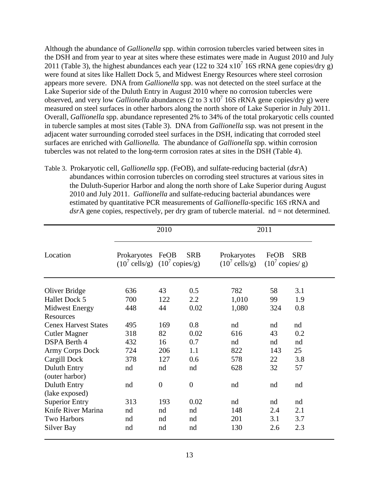Although the abundance of *Gallionella* spp. within corrosion tubercles varied between sites in the DSH and from year to year at sites where these estimates were made in August 2010 and July 2011 (Table 3), the highest abundances each year (122 to 324 x10<sup>7</sup> 16S rRNA gene copies/dry g) were found at sites like Hallett Dock 5, and Midwest Energy Resources where steel corrosion appears more severe. DNA from *Gallionella* spp. was not detected on the steel surface at the Lake Superior side of the Duluth Entry in August 2010 where no corrosion tubercles were observed, and very low *Gallionella* abundances (2 to 3  $\times 10^7$  16S rRNA gene copies/dry g) were measured on steel surfaces in other harbors along the north shore of Lake Superior in July 2011. Overall, *Gallionella* spp. abundance represented 2% to 34% of the total prokaryotic cells counted in tubercle samples at most sites (Table 3). DNA from *Gallionella* ssp*.* was not present in the adjacent water surrounding corroded steel surfaces in the DSH, indicating that corroded steel surfaces are enriched with *Gallionella.* The abundance of *Gallionella* spp. within corrosion tubercles was not related to the long-term corrosion rates at sites in the DSH (Table 4).

Table 3. Prokaryotic cell, *Gallionella* spp. (FeOB), and sulfate-reducing bacterial (*dsr*A) abundances within corrosion tubercles on corroding steel structures at various sites in the Duluth-Superior Harbor and along the north shore of Lake Superior during August 2010 and July 2011. *Gallionella* and sulfate-reducing bacterial abundances were estimated by quantitative PCR measurements of *Gallionella*-specific 16S rRNA and *dsr*A gene copies, respectively, per dry gram of tubercle material. nd = not determined.

|                                       |                                                                   | 2010           |                | 2011                                    |                                   |            |  |
|---------------------------------------|-------------------------------------------------------------------|----------------|----------------|-----------------------------------------|-----------------------------------|------------|--|
| Location                              | Prokaryotes<br>$(10^7 \text{ cells/g})$ $(10^7 \text{ copies/g})$ | FeOB           | <b>SRB</b>     | Prokaryotes<br>$(10^7 \text{ cells/g})$ | FeOB<br>$(10^7 \text{ copies/s})$ | <b>SRB</b> |  |
| Oliver Bridge                         | 636                                                               | 43             | 0.5            | 782                                     | 58                                | 3.1        |  |
| Hallet Dock 5                         | 700                                                               | 122            | 2.2            | 1,010                                   | 99                                | 1.9        |  |
| <b>Midwest Energy</b>                 | 448                                                               | 44             | 0.02           | 1,080                                   | 324                               | 0.8        |  |
| <b>Resources</b>                      |                                                                   |                |                |                                         |                                   |            |  |
| <b>Cenex Harvest States</b>           | 495                                                               | 169            | 0.8            | nd                                      | nd                                | nd         |  |
| <b>Cutler Magner</b>                  | 318                                                               | 82             | 0.02           | 616                                     | 43                                | 0.2        |  |
| <b>DSPA</b> Berth 4                   | 432                                                               | 16             | 0.7            | nd                                      | nd                                | nd         |  |
| Army Corps Dock                       | 724                                                               | 206            | 1.1            | 822                                     | 143                               | 25         |  |
| Cargill Dock                          | 378                                                               | 127            | 0.6            | 578                                     | 22                                | 3.8        |  |
| <b>Duluth Entry</b><br>(outer harbor) | nd                                                                | nd             | nd             | 628                                     | 32                                | 57         |  |
| <b>Duluth Entry</b><br>(lake exposed) | nd                                                                | $\overline{0}$ | $\overline{0}$ | nd                                      | nd                                | nd         |  |
| <b>Superior Entry</b>                 | 313                                                               | 193            | 0.02           | nd                                      | nd                                | nd         |  |
| Knife River Marina                    | nd                                                                | nd             | nd             | 148                                     | 2.4                               | 2.1        |  |
| <b>Two Harbors</b>                    | nd                                                                | nd             | nd             | 201                                     | 3.1                               | 3.7        |  |
| Silver Bay                            | nd                                                                | nd             | nd             | 130                                     | 2.6                               | 2.3        |  |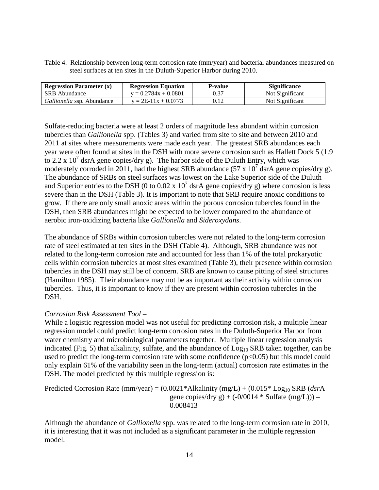| Table 4. Relationship between long-term corrosion rate (mm/year) and bacterial abundances measured on |
|-------------------------------------------------------------------------------------------------------|
| steel surfaces at ten sites in the Duluth-Superior Harbor during 2010.                                |

| <b>Regression Parameter (x)</b>   | <b>Regression Equation</b> | <b>P-value</b> | <b>Significance</b> |
|-----------------------------------|----------------------------|----------------|---------------------|
| <b>SRB</b> Abundance              | $v = 0.2784x + 0.0801$     |                | Not Significant     |
| <i>Gallionella</i> ssp. Abundance | $v = 2E-11x + 0.0773$      | 0.12           | Not Significant     |

Sulfate-reducing bacteria were at least 2 orders of magnitude less abundant within corrosion tubercles than *Gallionella* spp. (Tables 3) and varied from site to site and between 2010 and 2011 at sites where measurements were made each year. The greatest SRB abundances each year were often found at sites in the DSH with more severe corrosion such as Hallett Dock 5 (1.9 to 2.2 x  $10^7$  dsrA gene copies/dry g). The harbor side of the Duluth Entry, which was moderately corroded in 2011, had the highest SRB abundance (57 x  $10^7$  dsrA gene copies/dry g). The abundance of SRBs on steel surfaces was lowest on the Lake Superior side of the Duluth and Superior entries to the DSH (0 to 0.02 x  $10^7$  dsrA gene copies/dry g) where corrosion is less severe than in the DSH (Table 3). It is important to note that SRB require anoxic conditions to grow. If there are only small anoxic areas within the porous corrosion tubercles found in the DSH, then SRB abundances might be expected to be lower compared to the abundance of aerobic iron-oxidizing bacteria like *Gallionella* and *Sideroxydans*.

The abundance of SRBs within corrosion tubercles were not related to the long-term corrosion rate of steel estimated at ten sites in the DSH (Table 4). Although, SRB abundance was not related to the long-term corrosion rate and accounted for less than 1% of the total prokaryotic cells within corrosion tubercles at most sites examined (Table 3), their presence within corrosion tubercles in the DSH may still be of concern. SRB are known to cause pitting of steel structures (Hamilton 1985). Their abundance may not be as important as their activity within corrosion tubercles. Thus, it is important to know if they are present within corrosion tubercles in the DSH.

## *Corrosion Risk Assessment Tool –*

While a logistic regression model was not useful for predicting corrosion risk, a multiple linear regression model could predict long-term corrosion rates in the Duluth-Superior Harbor from water chemistry and microbiological parameters together. Multiple linear regression analysis indicated (Fig. 5) that alkalinity, sulfate, and the abundance of  $Log<sub>10</sub> SRB$  taken together, can be used to predict the long-term corrosion rate with some confidence  $(p<0.05)$  but this model could only explain 61% of the variability seen in the long-term (actual) corrosion rate estimates in the DSH. The model predicted by this multiple regression is:

Predicted Corrosion Rate (mm/year) = (0.0021\*Alkalinity (mg/L) + (0.015\* Log10 SRB (*dsr*A gene copies/dry g) +  $(-0/0014 * Sulfate (mg/L))$  – 0.008413

Although the abundance of *Gallionella* spp. was related to the long-term corrosion rate in 2010, it is interesting that it was not included as a significant parameter in the multiple regression model.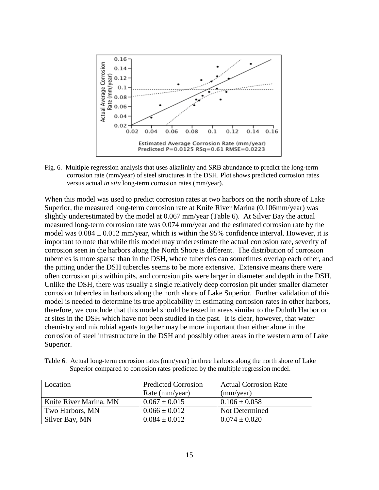

Fig. 6. Multiple regression analysis that uses alkalinity and SRB abundance to predict the long-term corrosion rate (mm/year) of steel structures in the DSH. Plot shows predicted corrosion rates versus actual *in situ* long-term corrosion rates (mm/year).

When this model was used to predict corrosion rates at two harbors on the north shore of Lake Superior, the measured long-term corrosion rate at Knife River Marina (0.106mm/year) was slightly underestimated by the model at 0.067 mm/year (Table 6). At Silver Bay the actual measured long-term corrosion rate was 0.074 mm/year and the estimated corrosion rate by the model was  $0.084 \pm 0.012$  mm/year, which is within the 95% confidence interval. However, it is important to note that while this model may underestimate the actual corrosion rate, severity of corrosion seen in the harbors along the North Shore is different. The distribution of corrosion tubercles is more sparse than in the DSH, where tubercles can sometimes overlap each other, and the pitting under the DSH tubercles seems to be more extensive. Extensive means there were often corrosion pits within pits, and corrosion pits were larger in diameter and depth in the DSH. Unlike the DSH, there was usually a single relatively deep corrosion pit under smaller diameter corrosion tubercles in harbors along the north shore of Lake Superior. Further validation of this model is needed to determine its true applicability in estimating corrosion rates in other harbors, therefore, we conclude that this model should be tested in areas similar to the Duluth Harbor or at sites in the DSH which have not been studied in the past. It is clear, however, that water chemistry and microbial agents together may be more important than either alone in the corrosion of steel infrastructure in the DSH and possibly other areas in the western arm of Lake Superior.

Table 6. Actual long-term corrosion rates (mm/year) in three harbors along the north shore of Lake Superior compared to corrosion rates predicted by the multiple regression model.

| Location               | <b>Predicted Corrosion</b> | <b>Actual Corrosion Rate</b> |
|------------------------|----------------------------|------------------------------|
|                        | Rate (mm/year)             | (mm/year)                    |
| Knife River Marina, MN | $0.067 \pm 0.015$          | $0.106 \pm 0.058$            |
| Two Harbors, MN        | $0.066 \pm 0.012$          | Not Determined               |
| Silver Bay, MN         | $0.084 \pm 0.012$          | $0.074 \pm 0.020$            |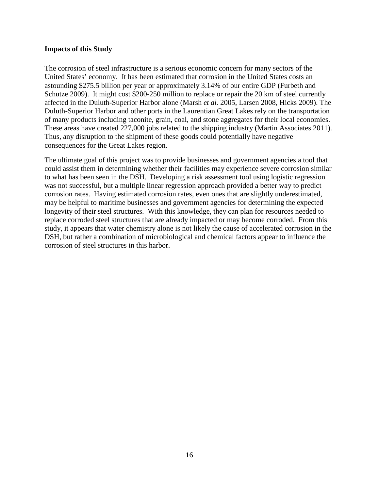#### **Impacts of this Study**

The corrosion of steel infrastructure is a serious economic concern for many sectors of the United States' economy. It has been estimated that corrosion in the United States costs an astounding \$275.5 billion per year or approximately 3.14% of our entire GDP (Furbeth and Schutze 2009). It might cost \$200-250 million to replace or repair the 20 km of steel currently affected in the Duluth-Superior Harbor alone (Marsh *et al.* 2005, Larsen 2008, Hicks 2009). The Duluth-Superior Harbor and other ports in the Laurentian Great Lakes rely on the transportation of many products including taconite, grain, coal, and stone aggregates for their local economies. These areas have created 227,000 jobs related to the shipping industry (Martin Associates 2011). Thus, any disruption to the shipment of these goods could potentially have negative consequences for the Great Lakes region.

The ultimate goal of this project was to provide businesses and government agencies a tool that could assist them in determining whether their facilities may experience severe corrosion similar to what has been seen in the DSH. Developing a risk assessment tool using logistic regression was not successful, but a multiple linear regression approach provided a better way to predict corrosion rates. Having estimated corrosion rates, even ones that are slightly underestimated, may be helpful to maritime businesses and government agencies for determining the expected longevity of their steel structures. With this knowledge, they can plan for resources needed to replace corroded steel structures that are already impacted or may become corroded. From this study, it appears that water chemistry alone is not likely the cause of accelerated corrosion in the DSH, but rather a combination of microbiological and chemical factors appear to influence the corrosion of steel structures in this harbor.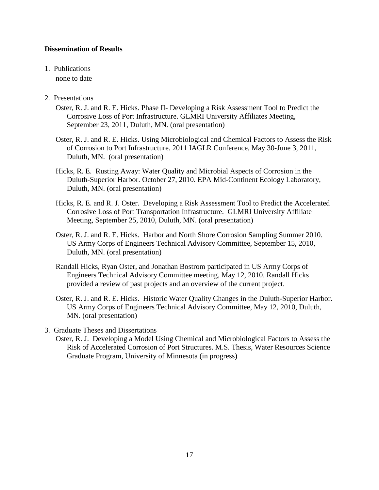# **Dissemination of Results**

# 1. Publications

none to date

# 2. Presentations

- Oster, R. J. and R. E. Hicks. Phase II- Developing a Risk Assessment Tool to Predict the Corrosive Loss of Port Infrastructure. GLMRI University Affiliates Meeting, September 23, 2011, Duluth, MN. (oral presentation)
- Oster, R. J. and R. E. Hicks. Using Microbiological and Chemical Factors to Assess the Risk of Corrosion to Port Infrastructure. 2011 IAGLR Conference, May 30-June 3, 2011, Duluth, MN. (oral presentation)
- Hicks, R. E. Rusting Away: Water Quality and Microbial Aspects of Corrosion in the Duluth-Superior Harbor. October 27, 2010. EPA Mid-Continent Ecology Laboratory, Duluth, MN. (oral presentation)
- Hicks, R. E. and R. J. Oster. Developing a Risk Assessment Tool to Predict the Accelerated Corrosive Loss of Port Transportation Infrastructure. GLMRI University Affiliate Meeting, September 25, 2010, Duluth, MN. (oral presentation)
- Oster, R. J. and R. E. Hicks. Harbor and North Shore Corrosion Sampling Summer 2010. US Army Corps of Engineers Technical Advisory Committee, September 15, 2010, Duluth, MN. (oral presentation)
- Randall Hicks, Ryan Oster, and Jonathan Bostrom participated in US Army Corps of Engineers Technical Advisory Committee meeting, May 12, 2010. Randall Hicks provided a review of past projects and an overview of the current project.
- Oster, R. J. and R. E. Hicks. Historic Water Quality Changes in the Duluth-Superior Harbor. US Army Corps of Engineers Technical Advisory Committee, May 12, 2010, Duluth, MN. (oral presentation)
- 3. Graduate Theses and Dissertations
	- Oster, R. J. Developing a Model Using Chemical and Microbiological Factors to Assess the Risk of Accelerated Corrosion of Port Structures. M.S. Thesis, Water Resources Science Graduate Program, University of Minnesota (in progress)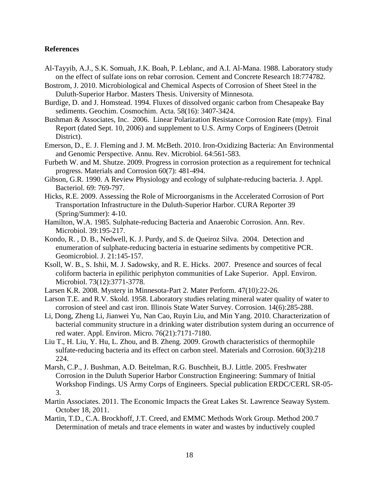#### **References**

- Al-Tayyib, A.J., S.K. Somuah, J.K. Boah, P. Leblanc, and A.I. Al-Mana. 1988. Laboratory study on the effect of sulfate ions on rebar corrosion. Cement and Concrete Research 18:774782.
- Bostrom, J. 2010. Microbiological and Chemical Aspects of Corrosion of Sheet Steel in the Duluth-Superior Harbor. Masters Thesis. University of Minnesota.
- Burdige, D. and J. Homstead. 1994. Fluxes of dissolved organic carbon from Chesapeake Bay sediments. Geochim. Cosmochim. Acta. 58(16): 3407-3424.
- Bushman & Associates, Inc. 2006. Linear Polarization Resistance Corrosion Rate (mpy). Final Report (dated Sept. 10, 2006) and supplement to U.S. Army Corps of Engineers (Detroit District).
- Emerson, D., E. J. Fleming and J. M. McBeth. 2010. Iron-Oxidizing Bacteria: An Environmental and Genomic Perspective. Annu. Rev. Microbiol. 64:561-583.
- Furbeth W. and M. Shutze. 2009. Progress in corrosion protection as a requirement for technical progress. Materials and Corrosion 60(7): 481-494.
- Gibson, G.R. 1990. A Review Physiology and ecology of sulphate-reducing bacteria. J. Appl. Bacteriol. 69: 769-797.
- Hicks, R.E. 2009. Assessing the Role of Microorganisms in the Accelerated Corrosion of Port Transportation Infrastructure in the Duluth-Superior Harbor. CURA Reporter 39 (Spring/Summer): 4-10.
- Hamilton, W.A. 1985. Sulphate-reducing Bacteria and Anaerobic Corrosion. Ann. Rev. Microbiol. 39:195-217.
- Kondo, R. , D. B., Nedwell, K. J. Purdy, and S. de Queiroz Silva. 2004. Detection and enumeration of sulphate-reducing bacteria in estuarine sediments by competitive PCR. Geomicrobiol. J. 21:145-157.
- Ksoll, W. B., S. Ishii, M. J. Sadowsky, and R. E. Hicks. 2007. Presence and sources of fecal coliform bacteria in epilithic periphyton communities of Lake Superior. Appl. Environ. Microbiol. 73(12):3771-3778.
- Larsen K.R. 2008. Mystery in Minnesota-Part 2. Mater Perform. 47(10):22-26.
- Larson T.E. and R.V. Skold. 1958. Laboratory studies relating mineral water quality of water to corrosion of steel and cast iron. Illinois State Water Survey. Corrosion. 14(6):285-288.
- Li, Dong, Zheng Li, Jianwei Yu, Nan Cao, Ruyin Liu, and Min Yang. 2010. Characterization of bacterial community structure in a drinking water distribution system during an occurrence of red water. Appl. Environ. Micro. 76(21):7171-7180.
- Liu T., H. Liu, Y. Hu, L. Zhou, and B. Zheng. 2009. Growth characteristics of thermophile sulfate-reducing bacteria and its effect on carbon steel. Materials and Corrosion. 60(3):218 224.
- Marsh, C.P., J. Bushman, A.D. Beitelman, R.G. Buschheit, B.J. Little. 2005. Freshwater Corrosion in the Duluth Superior Harbor Construction Engineering: Summary of Initial Workshop Findings. US Army Corps of Engineers. Special publication ERDC/CERL SR-05- 3.
- Martin Associates. 2011. The Economic Impacts the Great Lakes St. Lawrence Seaway System. October 18, 2011.
- Martin, T.D., C.A. Brockhoff, J.T. Creed, and EMMC Methods Work Group. Method 200.7 Determination of metals and trace elements in water and wastes by inductively coupled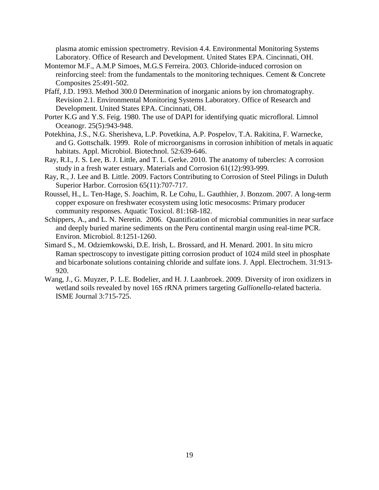plasma atomic emission spectrometry. Revision 4.4. Environmental Monitoring Systems Laboratory. Office of Research and Development. United States EPA. Cincinnati, OH.

- Montemor M.F., A.M.P Simoes, M.G.S Ferreira. 2003. Chloride-induced corrosion on reinforcing steel: from the fundamentals to the monitoring techniques. Cement & Concrete Composites 25:491-502.
- Pfaff, J.D. 1993. Method 300.0 Determination of inorganic anions by ion chromatography. Revision 2.1. Environmental Monitoring Systems Laboratory. Office of Research and Development. United States EPA. Cincinnati, OH.
- Porter K.G and Y.S. Feig. 1980. The use of DAPI for identifying quatic microfloral. Limnol Oceanogr. 25(5):943-948.
- Potekhina, J.S., N.G. Sherisheva, L.P. Povetkina, A.P. Pospelov, T.A. Rakitina, F. Warnecke, and G. Gottschalk. 1999. Role of microorganisms in corrosion inhibition of metals in aquatic habitats. Appl. Microbiol. Biotechnol. 52:639-646.
- Ray, R.I., J. S. Lee, B. J. Little, and T. L. Gerke. 2010. The anatomy of tubercles: A corrosion study in a fresh water estuary. Materials and Corrosion 61(12):993-999.
- Ray, R., J. Lee and B. Little. 2009. Factors Contributing to Corrosion of Steel Pilings in Duluth Superior Harbor. Corrosion 65(11):707-717.
- Roussel, H., L. Ten-Hage, S. Joachim, R. Le Cohu, L. Gauthhier, J. Bonzom. 2007. A long-term copper exposure on freshwater ecosystem using lotic mesocosms: Primary producer community responses. Aquatic Toxicol. 81:168-182.
- Schippers, A., and L. N. Neretin. 2006. Quantification of microbial communities in near surface and deeply buried marine sediments on the Peru continental margin using real-time PCR. Environ. Microbiol. 8:1251-1260.
- Simard S., M. Odziemkowski, D.E. Irish, L. Brossard, and H. Menard. 2001. In situ micro Raman spectroscopy to investigate pitting corrosion product of 1024 mild steel in phosphate and bicarbonate solutions containing chloride and sulfate ions. J. Appl. Electrochem. 31:913- 920.
- Wang, J., G. Muyzer, P. L.E. Bodelier, and H. J. Laanbroek. 2009. Diversity of iron oxidizers in wetland soils revealed by novel 16S rRNA primers targeting *Gallionella*-related bacteria. ISME Journal 3:715-725.